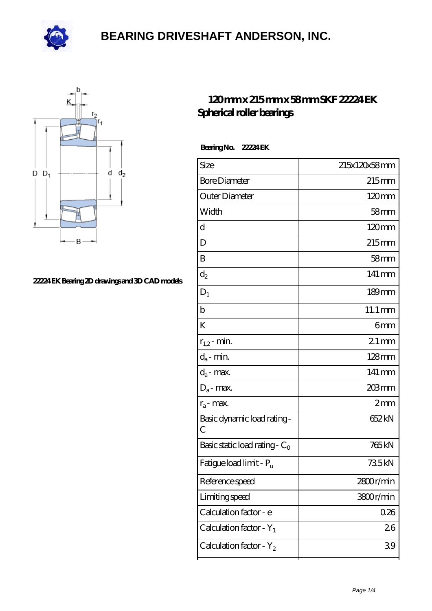



#### **[22224 EK Bearing 2D drawings and 3D CAD models](https://deadmanspartythemovie.com/pic-509343.html)**

#### **[120 mm x 215 mm x 58 mm SKF 22224 EK](https://deadmanspartythemovie.com/skf-22224-ek-bearing/) [Spherical roller bearings](https://deadmanspartythemovie.com/skf-22224-ek-bearing/)**

 **Bearing No. 22224 EK**

| Size                                | 215x120x58mm         |
|-------------------------------------|----------------------|
| <b>Bore Diameter</b>                | 215mm                |
| Outer Diameter                      | 120mm                |
| Width                               | $58$ mm              |
| d                                   | $120 \text{mm}$      |
| D                                   | 215mm                |
| B                                   | $58$ mm              |
| $d_2$                               | 141 mm               |
| $\mathbf{D}_1$                      | $189$ mm             |
| b                                   | $11.1 \,\mathrm{mm}$ |
| K                                   | 6mm                  |
| $r_{1,2}$ - min.                    | $21 \,\mathrm{mm}$   |
| $d_a$ - min.                        | $128$ mm             |
| $d_{\boldsymbol{a}}$ - max.         | 141 mm               |
| $D_a$ - max.                        | 203mm                |
| $r_a$ - max.                        | 2mm                  |
| Basic dynamic load rating-<br>С     | 652 kN               |
| Basic static load rating - $C_0$    | 765 kN               |
| Fatigue load limit - P <sub>u</sub> | 735kN                |
| Reference speed                     | 2800r/min            |
| Limiting speed                      | 3800r/min            |
| Calculation factor - e              | 0.26                 |
| Calculation factor - $Y_1$          | 26                   |
| Calculation factor - $Y_2$          | 39                   |
|                                     |                      |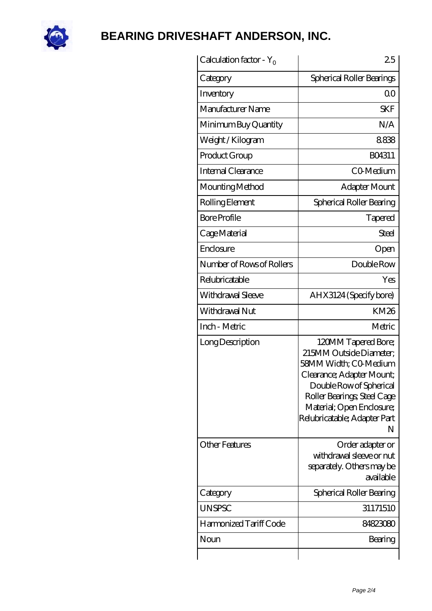

| Calculation factor - $Y_0$ | 25                                                                                                                                                                                                                               |
|----------------------------|----------------------------------------------------------------------------------------------------------------------------------------------------------------------------------------------------------------------------------|
| Category                   | Spherical Roller Bearings                                                                                                                                                                                                        |
| Inventory                  | 0 <sup>0</sup>                                                                                                                                                                                                                   |
| Manufacturer Name          | <b>SKF</b>                                                                                                                                                                                                                       |
| Minimum Buy Quantity       | N/A                                                                                                                                                                                                                              |
| Weight/Kilogram            | 8838                                                                                                                                                                                                                             |
| Product Group              | BO4311                                                                                                                                                                                                                           |
| Internal Clearance         | CO-Medium                                                                                                                                                                                                                        |
| Mounting Method            | Adapter Mount                                                                                                                                                                                                                    |
| Rolling Element            | Spherical Roller Bearing                                                                                                                                                                                                         |
| <b>Bore Profile</b>        | Tapered                                                                                                                                                                                                                          |
| Cage Material              | Steel                                                                                                                                                                                                                            |
| Enclosure                  | Open                                                                                                                                                                                                                             |
| Number of Rows of Rollers  | Double Row                                                                                                                                                                                                                       |
| Relubricatable             | Yes                                                                                                                                                                                                                              |
| Withdrawal Sleeve          | AHX3124 (Specify bore)                                                                                                                                                                                                           |
| Withdrawal Nut             | <b>KM26</b>                                                                                                                                                                                                                      |
| Inch - Metric              | Metric                                                                                                                                                                                                                           |
| Long Description           | 120MM Tapered Bore;<br>215MM Outside Diameter:<br>58MM Width; CO Medium<br>Clearance; Adapter Mount;<br>Double Row of Spherical<br>Roller Bearings; Steel Cage<br>Material; Open Enclosure;<br>Relubricatable; Adapter Part<br>N |
| <b>Other Features</b>      | Order adapter or<br>withdrawal sleeve or nut<br>separately. Others may be<br>available                                                                                                                                           |
| Category                   | Spherical Roller Bearing                                                                                                                                                                                                         |
| <b>UNSPSC</b>              | 31171510                                                                                                                                                                                                                         |
| Harmonized Tariff Code     | 84823080                                                                                                                                                                                                                         |
| Noun                       | Bearing                                                                                                                                                                                                                          |
|                            |                                                                                                                                                                                                                                  |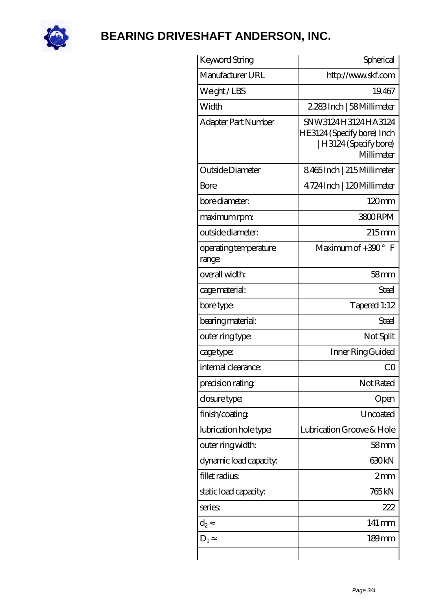

| Keyword String                  | Spherical                                                                              |
|---------------------------------|----------------------------------------------------------------------------------------|
| Manufacturer URL                | http://www.skf.com                                                                     |
| Weight/LBS                      | 19.467                                                                                 |
| Width                           | 2.283Inch   58Millimeter                                                               |
| Adapter Part Number             | SNW3124H3124HA3124<br>HE3124 (Specify bore) Inch<br>H3124 (Specify bore)<br>Millimeter |
| Outside Diameter                | 8465Inch   215Millimeter                                                               |
| Bore                            | 4.724 Inch   120 Millimeter                                                            |
| bore diameter:                  | $120 \text{mm}$                                                                        |
| maximum rpm:                    | 3800RPM                                                                                |
| outside diameter:               | $215$ mm                                                                               |
| operating temperature<br>range: | Maximum of $+300^{\circ}$ F                                                            |
| overall width:                  | 58 <sub>mm</sub>                                                                       |
| cage material:                  | Steel                                                                                  |
| bore type:                      | Tapered 1:12                                                                           |
| bearing material:               | Steel                                                                                  |
| outer ring type:                | Not Split                                                                              |
| cage type:                      | Inner Ring Guided                                                                      |
| internal clearance:             | C <sub>O</sub>                                                                         |
| precision rating                | Not Rated                                                                              |
| closure type:                   | Open                                                                                   |
| finish/coating                  | Uncoated                                                                               |
| lubrication hole type:          | Lubrication Groove & Hole                                                              |
| outer ring width:               | 58mm                                                                                   |
| dynamic load capacity:          | 630kN                                                                                  |
| fillet radius                   | 2mm                                                                                    |
| static load capacity.           | 765 <sub>kN</sub>                                                                      |
| series                          | 222                                                                                    |
| $d_2$                           | 141 mm                                                                                 |
| $D_1$                           | $189$ mm                                                                               |
|                                 |                                                                                        |